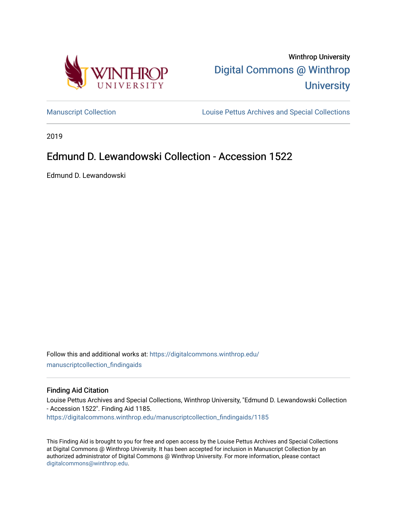



[Manuscript Collection](https://digitalcommons.winthrop.edu/manuscriptcollection_findingaids) **Louise Pettus Archives and Special Collections** 

2019

# Edmund D. Lewandowski Collection - Accession 1522

Edmund D. Lewandowski

Follow this and additional works at: [https://digitalcommons.winthrop.edu/](https://digitalcommons.winthrop.edu/manuscriptcollection_findingaids?utm_source=digitalcommons.winthrop.edu%2Fmanuscriptcollection_findingaids%2F1185&utm_medium=PDF&utm_campaign=PDFCoverPages) [manuscriptcollection\\_findingaids](https://digitalcommons.winthrop.edu/manuscriptcollection_findingaids?utm_source=digitalcommons.winthrop.edu%2Fmanuscriptcollection_findingaids%2F1185&utm_medium=PDF&utm_campaign=PDFCoverPages) 

#### Finding Aid Citation

Louise Pettus Archives and Special Collections, Winthrop University, "Edmund D. Lewandowski Collection - Accession 1522". Finding Aid 1185. [https://digitalcommons.winthrop.edu/manuscriptcollection\\_findingaids/1185](https://digitalcommons.winthrop.edu/manuscriptcollection_findingaids/1185?utm_source=digitalcommons.winthrop.edu%2Fmanuscriptcollection_findingaids%2F1185&utm_medium=PDF&utm_campaign=PDFCoverPages) 

This Finding Aid is brought to you for free and open access by the Louise Pettus Archives and Special Collections at Digital Commons @ Winthrop University. It has been accepted for inclusion in Manuscript Collection by an authorized administrator of Digital Commons @ Winthrop University. For more information, please contact [digitalcommons@winthrop.edu](mailto:digitalcommons@winthrop.edu).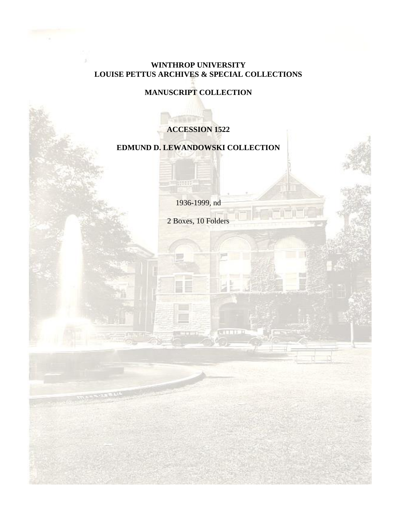# **WINTHROP UNIVERSITY LOUISE PETTUS ARCHIVES & SPECIAL COLLECTIONS**

# **MANUSCRIPT COLLECTION**

# **ACCESSION 1522**

# **EDMUND D. LEWANDOWSKI COLLECTION**

1936-1999, nd

HIIII.

2 Boxes, 10 Folders

**RETT-T-1**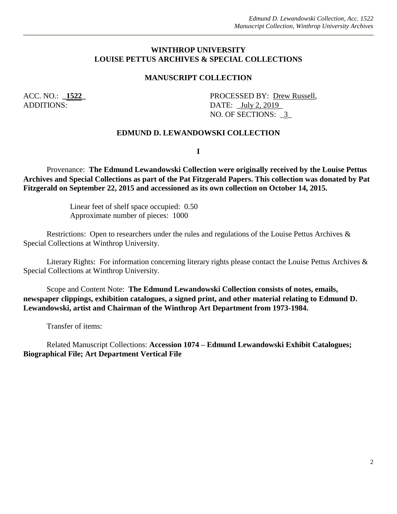#### **WINTHROP UNIVERSITY LOUISE PETTUS ARCHIVES & SPECIAL COLLECTIONS**

#### **MANUSCRIPT COLLECTION**

ACC. NO.: **\_1522\_** PROCESSED BY: <u>Drew Russell</u>, ADDITIONS: DATE: \_July 2, 2019 NO. OF SECTIONS: \_3\_

#### **EDMUND D. LEWANDOWSKI COLLECTION**

**I**

Provenance: **The Edmund Lewandowski Collection were originally received by the Louise Pettus Archives and Special Collections as part of the Pat Fitzgerald Papers. This collection was donated by Pat Fitzgerald on September 22, 2015 and accessioned as its own collection on October 14, 2015.**

> Linear feet of shelf space occupied: 0.50 Approximate number of pieces: 1000

Restrictions: Open to researchers under the rules and regulations of the Louise Pettus Archives & Special Collections at Winthrop University.

Literary Rights: For information concerning literary rights please contact the Louise Pettus Archives & Special Collections at Winthrop University.

Scope and Content Note: **The Edmund Lewandowski Collection consists of notes, emails, newspaper clippings, exhibition catalogues, a signed print, and other material relating to Edmund D. Lewandowski, artist and Chairman of the Winthrop Art Department from 1973-1984.**

Transfer of items:

Related Manuscript Collections: **Accession 1074 – Edmund Lewandowski Exhibit Catalogues; Biographical File; Art Department Vertical File**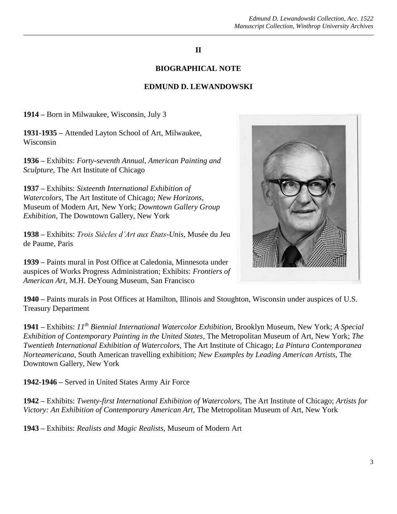## **II**

### **BIOGRAPHICAL NOTE**

#### **EDMUND D. LEWANDOWSKI**

**1914 –** Born in Milwaukee, Wisconsin, July 3

**1931-1935 –** Attended Layton School of Art, Milwaukee, Wisconsin

**1936 –** Exhibits: *Forty-seventh Annual, American Painting and Sculpture,* The Art Institute of Chicago

**1937 –** Exhibits: *Sixteenth International Exhibition of Watercolors,* The Art Institute of Chicago; *New Horizons*, Museum of Modern Art, New York; *Downtown Gallery Group Exhibition*, The Downtown Gallery, New York

**1938 –** Exhibits: *Trois Siècles d'Art aux Etats-Unis*, Musée du Jeu de Paume, Paris

**1939 –** Paints mural in Post Office at Caledonia, Minnesota under auspices of Works Progress Administration; Exhibits: *Frontiers of American Art,* M.H. DeYoung Museum, San Francisco



**1940 –** Paints murals in Post Offices at Hamilton, Illinois and Stoughton, Wisconsin under auspices of U.S. Treasury Department

**1941 –** Exhibits: *11th Biennial International Watercolor Exhibition,* Brooklyn Museum, New York; *A Special Exhibition of Contemporary Painting in the United States*, The Metropolitan Museum of Art, New York; *The Twentieth International Exhibition of Watercolors,* The Art Institute of Chicago; *La Pintura Contemporanea Norteamericana,* South American travelling exhibition; *New Examples by Leading American Artists,* The Downtown Gallery, New York

**1942-1946 –** Served in United States Army Air Force

**1942 –** Exhibits: *Twenty-first International Exhibition of Watercolors,* The Art Institute of Chicago; *Artists for Victory: An Exhibition of Contemporary American Art,* The Metropolitan Museum of Art, New York

**1943 –** Exhibits: *Realists and Magic Realists,* Museum of Modern Art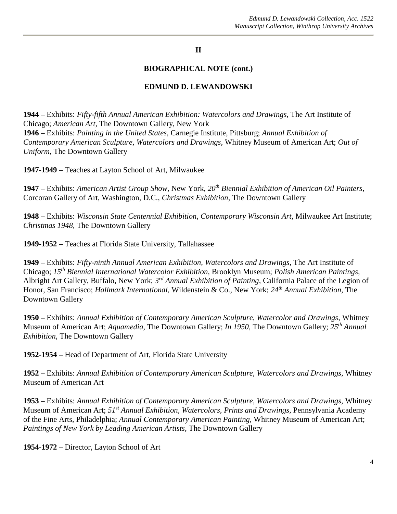## **II**

### **BIOGRAPHICAL NOTE (cont.)**

#### **EDMUND D. LEWANDOWSKI**

**1944 –** Exhibits: *Fifty-fifth Annual American Exhibition: Watercolors and Drawings,* The Art Institute of Chicago; *American Art,* The Downtown Gallery, New York **1946 –** Exhibits: *Painting in the United States,* Carnegie Institute, Pittsburg; *Annual Exhibition of Contemporary American Sculpture, Watercolors and Drawings,* Whitney Museum of American Art; *Out of Uniform*, The Downtown Gallery

**1947-1949 –** Teaches at Layton School of Art, Milwaukee

**1947 –** Exhibits: *American Artist Group Show,* New York, *20th Biennial Exhibition of American Oil Painters,*  Corcoran Gallery of Art, Washington, D.C., *Christmas Exhibition,* The Downtown Gallery

**1948 –** Exhibits: *Wisconsin State Centennial Exhibition, Contemporary Wisconsin Art,* Milwaukee Art Institute; *Christmas 1948,* The Downtown Gallery

**1949-1952 –** Teaches at Florida State University, Tallahassee

**1949 –** Exhibits: *Fifty-ninth Annual American Exhibition, Watercolors and Drawings,* The Art Institute of Chicago; *15th Biennial International Watercolor Exhibition,* Brooklyn Museum; *Polish American Paintings,*  Albright Art Gallery, Buffalo, New York; *3 rd Annual Exhibition of Painting,* California Palace of the Legion of Honor, San Francisco; *Hallmark International,* Wildenstein & Co., New York; *24th Annual Exhibition,* The Downtown Gallery

**1950 –** Exhibits: *Annual Exhibition of Contemporary American Sculpture, Watercolor and Drawings,* Whitney Museum of American Art; *Aquamedia*, The Downtown Gallery; *In 1950,* The Downtown Gallery; *25th Annual Exhibition,* The Downtown Gallery

**1952-1954 –** Head of Department of Art, Florida State University

**1952 –** Exhibits: *Annual Exhibition of Contemporary American Sculpture, Watercolors and Drawings,* Whitney Museum of American Art

**1953 –** Exhibits: *Annual Exhibition of Contemporary American Sculpture, Watercolors and Drawings,* Whitney Museum of American Art; *51st Annual Exhibition, Watercolors, Prints and Drawings,* Pennsylvania Academy of the Fine Arts, Philadelphia; *Annual Contemporary American Painting,* Whitney Museum of American Art; *Paintings of New York by Leading American Artists,* The Downtown Gallery

**1954-1972 –** Director, Layton School of Art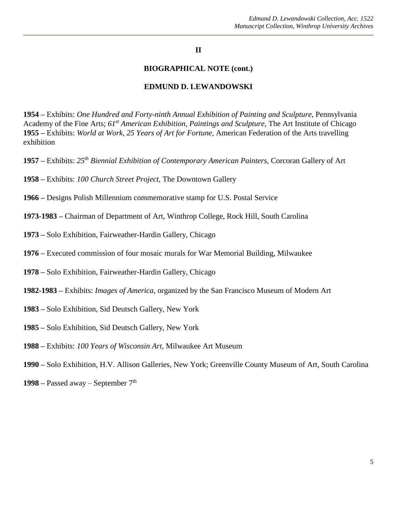### **II**

#### **BIOGRAPHICAL NOTE (cont.)**

#### **EDMUND D. LEWANDOWSKI**

**1954 –** Exhibits: *One Hundred and Forty-ninth Annual Exhibition of Painting and Sculpture,* Pennsylvania Academy of the Fine Arts; *61st American Exhibition, Paintings and Sculpture,* The Art Institute of Chicago **1955 –** Exhibits: *World at Work, 25 Years of Art for Fortune,* American Federation of the Arts travelling exhibition

- **1957 –** Exhibits: *25th Biennial Exhibition of Contemporary American Painters,* Corcoran Gallery of Art
- **1958 –** Exhibits: *100 Church Street Project,* The Downtown Gallery
- **1966 –** Designs Polish Millennium commemorative stamp for U.S. Postal Service
- **1973-1983 –** Chairman of Department of Art, Winthrop College, Rock Hill, South Carolina
- **1973 –** Solo Exhibition, Fairweather-Hardin Gallery, Chicago
- **1976 –** Executed commission of four mosaic murals for War Memorial Building, Milwaukee
- **1978 –** Solo Exhibition, Fairweather-Hardin Gallery, Chicago
- **1982-1983 –** Exhibits: *Images of America,* organized by the San Francisco Museum of Modern Art
- **1983 –** Solo Exhibition, Sid Deutsch Gallery, New York
- **1985 –** Solo Exhibition, Sid Deutsch Gallery, New York
- **1988 –** Exhibits: *100 Years of Wisconsin Art,* Milwaukee Art Museum
- **1990 –** Solo Exhibition, H.V. Allison Galleries, New York; Greenville County Museum of Art, South Carolina
- **1998 –** Passed away September 7th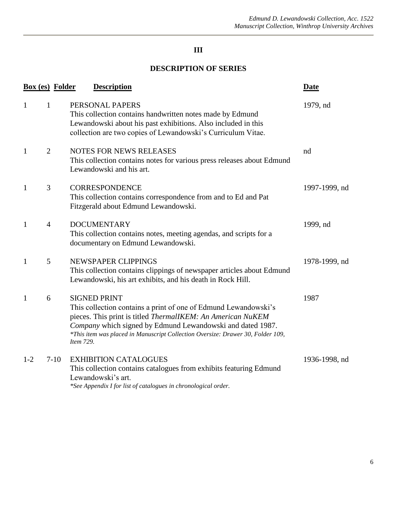# **III**

# **DESCRIPTION OF SERIES**

| <b>Box (es) Folder</b> |                | <b>Description</b>                                                                                                                                                                                                                                                                                                  | <b>Date</b>   |
|------------------------|----------------|---------------------------------------------------------------------------------------------------------------------------------------------------------------------------------------------------------------------------------------------------------------------------------------------------------------------|---------------|
| $\mathbf{1}$           | 1              | PERSONAL PAPERS<br>This collection contains handwritten notes made by Edmund<br>Lewandowski about his past exhibitions. Also included in this<br>collection are two copies of Lewandowski's Curriculum Vitae.                                                                                                       | 1979, nd      |
| $\mathbf{1}$           | 2              | <b>NOTES FOR NEWS RELEASES</b><br>This collection contains notes for various press releases about Edmund<br>Lewandowski and his art.                                                                                                                                                                                | nd            |
| $\mathbf{1}$           | 3              | <b>CORRESPONDENCE</b><br>This collection contains correspondence from and to Ed and Pat<br>Fitzgerald about Edmund Lewandowski.                                                                                                                                                                                     | 1997-1999, nd |
| $\mathbf{1}$           | $\overline{4}$ | <b>DOCUMENTARY</b><br>This collection contains notes, meeting agendas, and scripts for a<br>documentary on Edmund Lewandowski.                                                                                                                                                                                      | 1999, nd      |
| $\mathbf{1}$           | 5              | NEWSPAPER CLIPPINGS<br>This collection contains clippings of newspaper articles about Edmund<br>Lewandowski, his art exhibits, and his death in Rock Hill.                                                                                                                                                          | 1978-1999, nd |
| $\mathbf{1}$           | 6              | <b>SIGNED PRINT</b><br>This collection contains a print of one of Edmund Lewandowski's<br>pieces. This print is titled ThermalIKEM: An American NuKEM<br>Company which signed by Edmund Lewandowski and dated 1987.<br>*This item was placed in Manuscript Collection Oversize: Drawer 30, Folder 109,<br>Item 729. | 1987          |
| $1-2$                  | $7-10$         | <b>EXHIBITION CATALOGUES</b><br>This collection contains catalogues from exhibits featuring Edmund<br>Lewandowski's art.<br>*See Appendix I for list of catalogues in chronological order.                                                                                                                          | 1936-1998, nd |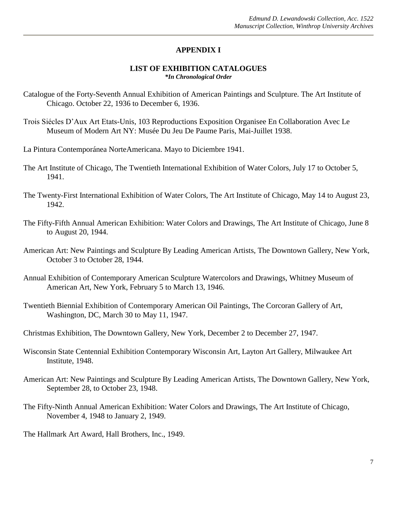### **APPENDIX I**

#### **LIST OF EXHIBITION CATALOGUES** *\*In Chronological Order*

- Catalogue of the Forty-Seventh Annual Exhibition of American Paintings and Sculpture. The Art Institute of Chicago. October 22, 1936 to December 6, 1936.
- Trois Siécles D'Aux Art Etats-Unis, 103 Reproductions Exposition Organisee En Collaboration Avec Le Museum of Modern Art NY: Musée Du Jeu De Paume Paris, Mai-Juillet 1938.
- La Pintura Contemporánea NorteAmericana. Mayo to Diciembre 1941.
- The Art Institute of Chicago, The Twentieth International Exhibition of Water Colors, July 17 to October 5, 1941.
- The Twenty-First International Exhibition of Water Colors, The Art Institute of Chicago, May 14 to August 23, 1942.
- The Fifty-Fifth Annual American Exhibition: Water Colors and Drawings, The Art Institute of Chicago, June 8 to August 20, 1944.
- American Art: New Paintings and Sculpture By Leading American Artists, The Downtown Gallery, New York, October 3 to October 28, 1944.
- Annual Exhibition of Contemporary American Sculpture Watercolors and Drawings, Whitney Museum of American Art, New York, February 5 to March 13, 1946.
- Twentieth Biennial Exhibition of Contemporary American Oil Paintings, The Corcoran Gallery of Art, Washington, DC, March 30 to May 11, 1947.
- Christmas Exhibition, The Downtown Gallery, New York, December 2 to December 27, 1947.
- Wisconsin State Centennial Exhibition Contemporary Wisconsin Art, Layton Art Gallery, Milwaukee Art Institute, 1948.
- American Art: New Paintings and Sculpture By Leading American Artists, The Downtown Gallery, New York, September 28, to October 23, 1948.
- The Fifty-Ninth Annual American Exhibition: Water Colors and Drawings, The Art Institute of Chicago, November 4, 1948 to January 2, 1949.
- The Hallmark Art Award, Hall Brothers, Inc., 1949.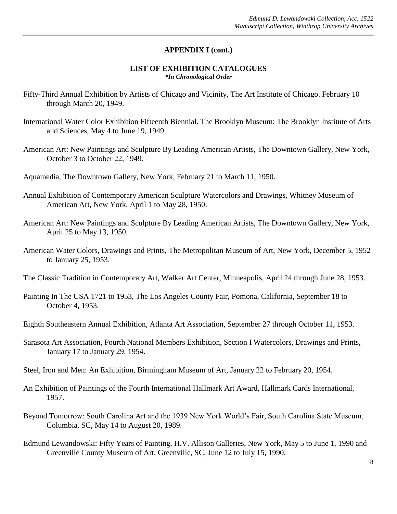### **APPENDIX I (cont.)**

#### **LIST OF EXHIBITION CATALOGUES** *\*In Chronological Order*

- Fifty-Third Annual Exhibition by Artists of Chicago and Vicinity, The Art Institute of Chicago. February 10 through March 20, 1949.
- International Water Color Exhibition Fifteenth Biennial. The Brooklyn Museum: The Brooklyn Institute of Arts and Sciences, May 4 to June 19, 1949.
- American Art: New Paintings and Sculpture By Leading American Artists, The Downtown Gallery, New York, October 3 to October 22, 1949.
- Aquamedia, The Downtown Gallery, New York, February 21 to March 11, 1950.
- Annual Exhibition of Contemporary American Sculpture Watercolors and Drawings, Whitney Museum of American Art, New York, April 1 to May 28, 1950.
- American Art: New Paintings and Sculpture By Leading American Artists, The Downtown Gallery, New York, April 25 to May 13, 1950.
- American Water Colors, Drawings and Prints, The Metropolitan Museum of Art, New York, December 5, 1952 to January 25, 1953.
- The Classic Tradition in Contemporary Art, Walker Art Center, Minneapolis, April 24 through June 28, 1953.
- Painting In The USA 1721 to 1953, The Los Angeles County Fair, Pomona, California, September 18 to October 4, 1953.
- Eighth Southeastern Annual Exhibition, Atlanta Art Association, September 27 through October 11, 1953.
- Sarasota Art Association, Fourth National Members Exhibition, Section I Watercolors, Drawings and Prints, January 17 to January 29, 1954.
- Steel, Iron and Men: An Exhibition, Birmingham Museum of Art, January 22 to February 20, 1954.
- An Exhibition of Paintings of the Fourth International Hallmark Art Award, Hallmark Cards International, 1957.
- Beyond Tomorrow: South Carolina Art and the 1939 New York World's Fair, South Carolina State Museum, Columbia, SC, May 14 to August 20, 1989.
- Edmund Lewandowski: Fifty Years of Painting, H.V. Allison Galleries, New York, May 5 to June 1, 1990 and Greenville County Museum of Art, Greenville, SC, June 12 to July 15, 1990.